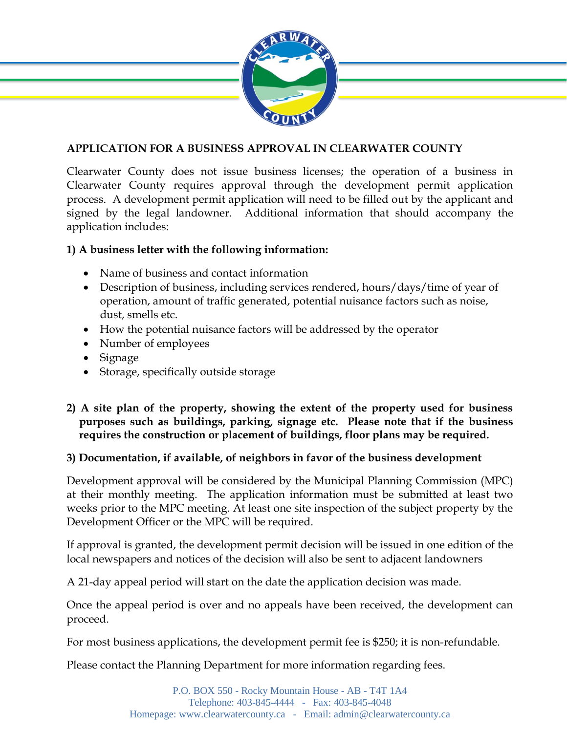

## **APPLICATION FOR A BUSINESS APPROVAL IN CLEARWATER COUNTY**

Clearwater County does not issue business licenses; the operation of a business in Clearwater County requires approval through the development permit application process. A development permit application will need to be filled out by the applicant and signed by the legal landowner. Additional information that should accompany the application includes:

## **1) A business letter with the following information:**

- Name of business and contact information
- Description of business, including services rendered, hours/days/time of year of operation, amount of traffic generated, potential nuisance factors such as noise, dust, smells etc.
- How the potential nuisance factors will be addressed by the operator
- Number of employees
- Signage
- Storage, specifically outside storage

## **2) A site plan of the property, showing the extent of the property used for business purposes such as buildings, parking, signage etc. Please note that if the business requires the construction or placement of buildings, floor plans may be required.**

## **3) Documentation, if available, of neighbors in favor of the business development**

Development approval will be considered by the Municipal Planning Commission (MPC) at their monthly meeting. The application information must be submitted at least two weeks prior to the MPC meeting. At least one site inspection of the subject property by the Development Officer or the MPC will be required.

If approval is granted, the development permit decision will be issued in one edition of the local newspapers and notices of the decision will also be sent to adjacent landowners

A 21-day appeal period will start on the date the application decision was made.

Once the appeal period is over and no appeals have been received, the development can proceed.

For most business applications, the development permit fee is \$250; it is non-refundable.

Please contact the Planning Department for more information regarding fees.